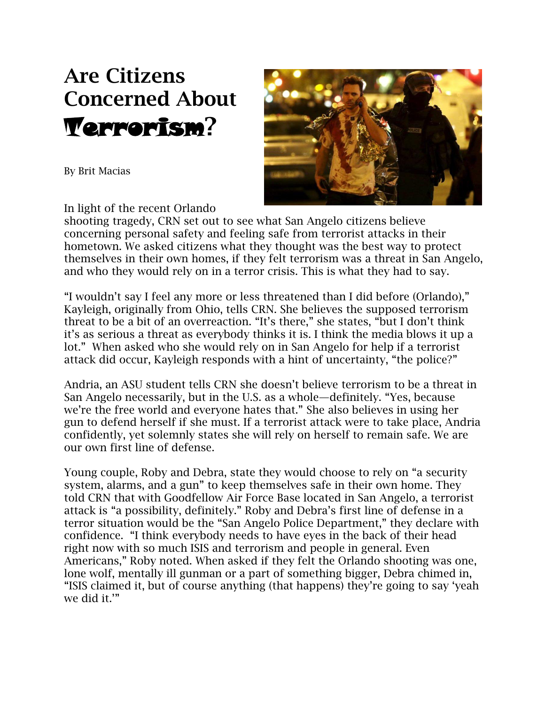## **Are Citizens Concerned About**  Terrorism**?**

By Brit Macias



In light of the recent Orlando

shooting tragedy, CRN set out to see what San Angelo citizens believe concerning personal safety and feeling safe from terrorist attacks in their hometown. We asked citizens what they thought was the best way to protect themselves in their own homes, if they felt terrorism was a threat in San Angelo, and who they would rely on in a terror crisis. This is what they had to say.

"I wouldn't say I feel any more or less threatened than I did before (Orlando)," Kayleigh, originally from Ohio, tells CRN. She believes the supposed terrorism threat to be a bit of an overreaction. "It's there," she states, "but I don't think it's as serious a threat as everybody thinks it is. I think the media blows it up a lot." When asked who she would rely on in San Angelo for help if a terrorist attack did occur, Kayleigh responds with a hint of uncertainty, "the police?"

Andria, an ASU student tells CRN she doesn't believe terrorism to be a threat in San Angelo necessarily, but in the U.S. as a whole—definitely. "Yes, because we're the free world and everyone hates that." She also believes in using her gun to defend herself if she must. If a terrorist attack were to take place, Andria confidently, yet solemnly states she will rely on herself to remain safe. We are our own first line of defense.

Young couple, Roby and Debra, state they would choose to rely on "a security system, alarms, and a gun" to keep themselves safe in their own home. They told CRN that with Goodfellow Air Force Base located in San Angelo, a terrorist attack is "a possibility, definitely." Roby and Debra's first line of defense in a terror situation would be the "San Angelo Police Department," they declare with confidence. "I think everybody needs to have eyes in the back of their head right now with so much ISIS and terrorism and people in general. Even Americans," Roby noted. When asked if they felt the Orlando shooting was one, lone wolf, mentally ill gunman or a part of something bigger, Debra chimed in, "ISIS claimed it, but of course anything (that happens) they're going to say 'yeah we did it.'"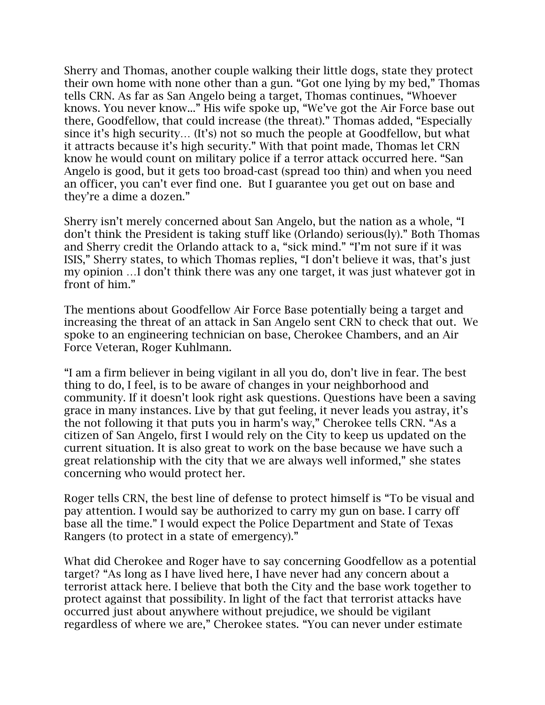Sherry and Thomas, another couple walking their little dogs, state they protect their own home with none other than a gun. "Got one lying by my bed," Thomas tells CRN. As far as San Angelo being a target, Thomas continues, "Whoever knows. You never know..." His wife spoke up, "We've got the Air Force base out there, Goodfellow, that could increase (the threat)." Thomas added, "Especially since it's high security… (It's) not so much the people at Goodfellow, but what it attracts because it's high security." With that point made, Thomas let CRN know he would count on military police if a terror attack occurred here. "San Angelo is good, but it gets too broad-cast (spread too thin) and when you need an officer, you can't ever find one. But I guarantee you get out on base and they're a dime a dozen."

Sherry isn't merely concerned about San Angelo, but the nation as a whole, "I don't think the President is taking stuff like (Orlando) serious(ly)." Both Thomas and Sherry credit the Orlando attack to a, "sick mind." "I'm not sure if it was ISIS," Sherry states, to which Thomas replies, "I don't believe it was, that's just my opinion …I don't think there was any one target, it was just whatever got in front of him."

The mentions about Goodfellow Air Force Base potentially being a target and increasing the threat of an attack in San Angelo sent CRN to check that out. We spoke to an engineering technician on base, Cherokee Chambers, and an Air Force Veteran, Roger Kuhlmann.

"I am a firm believer in being vigilant in all you do, don't live in fear. The best thing to do, I feel, is to be aware of changes in your neighborhood and community. If it doesn't look right ask questions. Questions have been a saving grace in many instances. Live by that gut feeling, it never leads you astray, it's the not following it that puts you in harm's way," Cherokee tells CRN. "As a citizen of San Angelo, first I would rely on the City to keep us updated on the current situation. It is also great to work on the base because we have such a great relationship with the city that we are always well informed," she states concerning who would protect her.

Roger tells CRN, the best line of defense to protect himself is "To be visual and pay attention. I would say be authorized to carry my gun on base. I carry off base all the time." I would expect the Police Department and State of Texas Rangers (to protect in a state of emergency)."

What did Cherokee and Roger have to say concerning Goodfellow as a potential target? "As long as I have lived here, I have never had any concern about a terrorist attack here. I believe that both the City and the base work together to protect against that possibility. In light of the fact that terrorist attacks have occurred just about anywhere without prejudice, we should be vigilant regardless of where we are," Cherokee states. "You can never under estimate